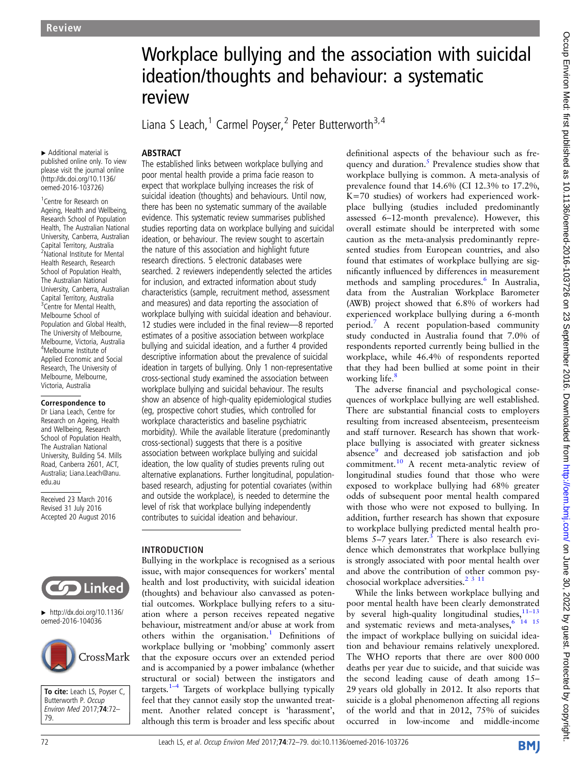# Workplace bullying and the association with suicidal ideation/thoughts and behaviour: a systematic review

Liana S Leach,<sup>1</sup> Carmel Poyser,<sup>2</sup> Peter Butterworth<sup>3,4</sup>

▸ Additional material is published online only. To view please visit the journal online [\(http://dx.doi.org/10.1136/](http://dx.doi.org/10.1136/oemed-2016-103726)

**ABSTRACT** 

[oemed-2016-103726](http://dx.doi.org/10.1136/oemed-2016-103726))

1 Centre for Research on Ageing, Health and Wellbeing, Research School of Population Health, The Australian National University, Canberra, Australian Capital Territory, Australia 2 National Institute for Mental Health Research, Research School of Population Health, The Australian National University, Canberra, Australian Capital Territory, Australia <sup>3</sup> Centre for Mental Health, Melbourne School of Population and Global Health, The University of Melbourne, Melbourne, Victoria, Australia 4 Melbourne Institute of Applied Economic and Social Research, The University of Melbourne, Melbourne, Victoria, Australia

Correspondence to

Dr Liana Leach, Centre for Research on Ageing, Health and Wellbeing, Research School of Population Health, The Australian National University, Building 54. Mills Road, Canberra 2601, ACT, Australia; Liana.Leach@anu. edu.au

Received 23 March 2016 Revised 31 July 2016 Accepted 20 August 2016



▸ [http://dx.doi.org/10.1136/](http://dx.doi.org/10.1136/oemed-2016-104036) [oemed-2016-104036](http://dx.doi.org/10.1136/oemed-2016-104036)



To cite: Leach LS, Poyser C, Butterworth P. Occup Environ Med 2017;74:72– 79.

The established links between workplace bullying and poor mental health provide a prima facie reason to expect that workplace bullying increases the risk of suicidal ideation (thoughts) and behaviours. Until now, there has been no systematic summary of the available evidence. This systematic review summarises published studies reporting data on workplace bullying and suicidal ideation, or behaviour. The review sought to ascertain the nature of this association and highlight future research directions. 5 electronic databases were searched. 2 reviewers independently selected the articles for inclusion, and extracted information about study characteristics (sample, recruitment method, assessment and measures) and data reporting the association of workplace bullying with suicidal ideation and behaviour. 12 studies were included in the final review—8 reported estimates of a positive association between workplace bullying and suicidal ideation, and a further 4 provided descriptive information about the prevalence of suicidal ideation in targets of bullying. Only 1 non-representative cross-sectional study examined the association between workplace bullying and suicidal behaviour. The results show an absence of high-quality epidemiological studies (eg, prospective cohort studies, which controlled for workplace characteristics and baseline psychiatric morbidity). While the available literature (predominantly cross-sectional) suggests that there is a positive association between workplace bullying and suicidal ideation, the low quality of studies prevents ruling out alternative explanations. Further longitudinal, populationbased research, adjusting for potential covariates (within and outside the workplace), is needed to determine the level of risk that workplace bullying independently

## INTRODUCTION

Bullying in the workplace is recognised as a serious issue, with major consequences for workers' mental health and lost productivity, with suicidal ideation (thoughts) and behaviour also canvassed as potential outcomes. Workplace bullying refers to a situation where a person receives repeated negative behaviour, mistreatment and/or abuse at work from others within the organisation.<sup>[1](#page-6-0)</sup> Definitions of workplace bullying or 'mobbing' commonly assert that the exposure occurs over an extended period and is accompanied by a power imbalance (whether structural or social) between the instigators and targets. $1-4$  $1-4$  Targets of workplace bullying typically feel that they cannot easily stop the unwanted treatment. Another related concept is 'harassment', although this term is broader and less specific about

contributes to suicidal ideation and behaviour.

definitional aspects of the behaviour such as frequency and duration.<sup>5</sup> Prevalence studies show that workplace bullying is common. A meta-analysis of prevalence found that 14.6% (CI 12.3% to 17.2%, K=70 studies) of workers had experienced workplace bullying (studies included predominantly assessed 6–12-month prevalence). However, this overall estimate should be interpreted with some caution as the meta-analysis predominantly represented studies from European countries, and also found that estimates of workplace bullying are significantly influenced by differences in measurement methods and sampling procedures.<sup>[6](#page-6-0)</sup> In Australia, data from the Australian Workplace Barometer (AWB) project showed that 6.8% of workers had experienced workplace bullying during a 6-month period.[7](#page-6-0) A recent population-based community study conducted in Australia found that 7.0% of respondents reported currently being bullied in the workplace, while 46.4% of respondents reported that they had been bullied at some point in their working life.<sup>8</sup>

The adverse financial and psychological consequences of workplace bullying are well established. There are substantial financial costs to employers resulting from increased absenteeism, presenteeism and staff turnover. Research has shown that workplace bullying is associated with greater sickness absence<sup>9</sup> and decreased job satisfaction and job commitment.[10](#page-6-0) A recent meta-analytic review of longitudinal studies found that those who were exposed to workplace bullying had 68% greater odds of subsequent poor mental health compared with those who were not exposed to bullying. In addition, further research has shown that exposure to workplace bullying predicted mental health problems  $5-7$  years later.<sup>[3](#page-6-0)</sup> There is also research evidence which demonstrates that workplace bullying is strongly associated with poor mental health over and above the contribution of other common psychosocial workplace adversities.<sup>2</sup><sup>3</sup><sup>11</sup>

While the links between workplace bullying and poor mental health have been clearly demonstrated by several high-quality longitudinal studies, $11-13$  $11-13$ and systematic reviews and meta-analyses,  $6\overline{14}$  15 the impact of workplace bullying on suicidal ideation and behaviour remains relatively unexplored. The WHO reports that there are over 800 000 deaths per year due to suicide, and that suicide was the second leading cause of death among 15– 29 years old globally in 2012. It also reports that suicide is a global phenomenon affecting all regions of the world and that in 2012, 75% of suicides occurred in low-income and middle-income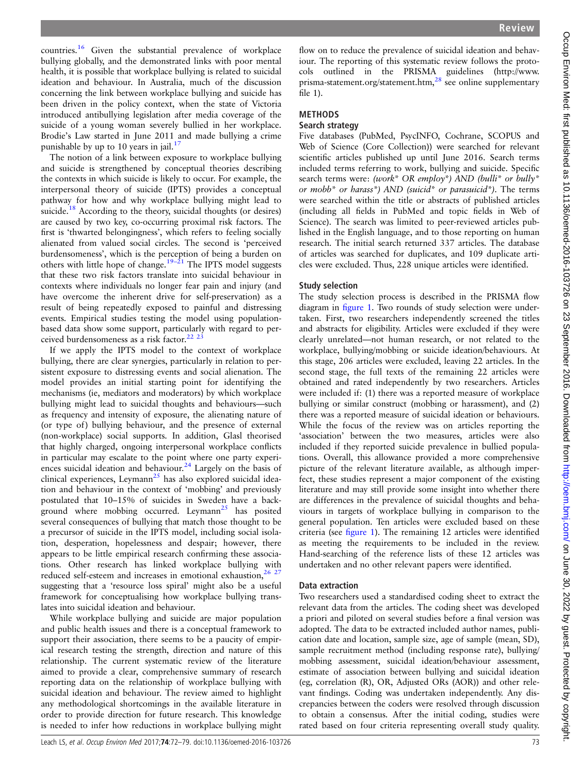countries.[16](#page-6-0) Given the substantial prevalence of workplace bullying globally, and the demonstrated links with poor mental health, it is possible that workplace bullying is related to suicidal ideation and behaviour. In Australia, much of the discussion concerning the link between workplace bullying and suicide has been driven in the policy context, when the state of Victoria introduced antibullying legislation after media coverage of the suicide of a young woman severely bullied in her workplace. Brodie's Law started in June 2011 and made bullying a crime punishable by up to 10 years in jail.<sup>[17](#page-6-0)</sup>

The notion of a link between exposure to workplace bullying and suicide is strengthened by conceptual theories describing the contexts in which suicide is likely to occur. For example, the interpersonal theory of suicide (IPTS) provides a conceptual pathway for how and why workplace bullying might lead to suicide.<sup>[18](#page-6-0)</sup> According to the theory, suicidal thoughts (or desires) are caused by two key, co-occurring proximal risk factors. The first is 'thwarted belongingness', which refers to feeling socially alienated from valued social circles. The second is 'perceived burdensomeness', which is the perception of being a burden on others with little hope of change.<sup>19–[21](#page-6-0)</sup> The IPTS model suggests that these two risk factors translate into suicidal behaviour in contexts where individuals no longer fear pain and injury (and have overcome the inherent drive for self-preservation) as a result of being repeatedly exposed to painful and distressing events. Empirical studies testing the model using populationbased data show some support, particularly with regard to per-ceived burdensomeness as a risk factor.<sup>[22](#page-6-0) 2</sup>

If we apply the IPTS model to the context of workplace bullying, there are clear synergies, particularly in relation to persistent exposure to distressing events and social alienation. The model provides an initial starting point for identifying the mechanisms (ie, mediators and moderators) by which workplace bullying might lead to suicidal thoughts and behaviours—such as frequency and intensity of exposure, the alienating nature of (or type of) bullying behaviour, and the presence of external (non-workplace) social supports. In addition, Glasl theorised that highly charged, ongoing interpersonal workplace conflicts in particular may escalate to the point where one party experiences suicidal ideation and behaviour.[24](#page-7-0) Largely on the basis of clinical experiences, Leymann<sup>[25](#page-7-0)</sup> has also explored suicidal ideation and behaviour in the context of 'mobbing' and previously postulated that 10–15% of suicides in Sweden have a background where mobbing occurred. Leymann<sup>25</sup> has posited several consequences of bullying that match those thought to be a precursor of suicide in the IPTS model, including social isolation, desperation, hopelessness and despair; however, there appears to be little empirical research confirming these associations. Other research has linked workplace bullying with reduced self-esteem and increases in emotional exhaustion, $\hat{i}$ suggesting that a 'resource loss spiral' might also be a useful framework for conceptualising how workplace bullying translates into suicidal ideation and behaviour.

While workplace bullying and suicide are major population and public health issues and there is a conceptual framework to support their association, there seems to be a paucity of empirical research testing the strength, direction and nature of this relationship. The current systematic review of the literature aimed to provide a clear, comprehensive summary of research reporting data on the relationship of workplace bullying with suicidal ideation and behaviour. The review aimed to highlight any methodological shortcomings in the available literature in order to provide direction for future research. This knowledge is needed to infer how reductions in workplace bullying might

flow on to reduce the prevalence of suicidal ideation and behaviour. The reporting of this systematic review follows the protocols outlined in the PRISMA guidelines [\(http://www.](http://www.prisma-statement.org/statement.htm) [prisma-statement.org/statement.htm](http://www.prisma-statement.org/statement.htm),<sup>[28](#page-7-0)</sup> see online supplementary file 1).

# **METHODS**

#### Search strategy

Five databases (PubMed, PsycINFO, Cochrane, SCOPUS and Web of Science (Core Collection)) were searched for relevant scientific articles published up until June 2016. Search terms included terms referring to work, bullying and suicide. Specific search terms were: (work\* OR employ\*) AND (bulli\* or bully\* or mobb<sup>\*</sup> or harass<sup>\*</sup>) AND (suicid<sup>\*</sup> or parasuicid<sup>\*</sup>). The terms were searched within the title or abstracts of published articles (including all fields in PubMed and topic fields in Web of Science). The search was limited to peer-reviewed articles published in the English language, and to those reporting on human research. The initial search returned 337 articles. The database of articles was searched for duplicates, and 109 duplicate articles were excluded. Thus, 228 unique articles were identified.

## Study selection

The study selection process is described in the PRISMA flow diagram in fi[gure 1](#page-2-0). Two rounds of study selection were undertaken. First, two researchers independently screened the titles and abstracts for eligibility. Articles were excluded if they were clearly unrelated—not human research, or not related to the workplace, bullying/mobbing or suicide ideation/behaviours. At this stage, 206 articles were excluded, leaving 22 articles. In the second stage, the full texts of the remaining 22 articles were obtained and rated independently by two researchers. Articles were included if: (1) there was a reported measure of workplace bullying or similar construct (mobbing or harassment), and (2) there was a reported measure of suicidal ideation or behaviours. While the focus of the review was on articles reporting the 'association' between the two measures, articles were also included if they reported suicide prevalence in bullied populations. Overall, this allowance provided a more comprehensive picture of the relevant literature available, as although imperfect, these studies represent a major component of the existing literature and may still provide some insight into whether there are differences in the prevalence of suicidal thoughts and behaviours in targets of workplace bullying in comparison to the general population. Ten articles were excluded based on these criteria (see fi[gure 1](#page-2-0)). The remaining 12 articles were identified as meeting the requirements to be included in the review. Hand-searching of the reference lists of these 12 articles was undertaken and no other relevant papers were identified.

## Data extraction

Two researchers used a standardised coding sheet to extract the relevant data from the articles. The coding sheet was developed a priori and piloted on several studies before a final version was adopted. The data to be extracted included author names, publication date and location, sample size, age of sample (mean, SD), sample recruitment method (including response rate), bullying/ mobbing assessment, suicidal ideation/behaviour assessment, estimate of association between bullying and suicidal ideation (eg, correlation (R), OR, Adjusted ORs (AOR)) and other relevant findings. Coding was undertaken independently. Any discrepancies between the coders were resolved through discussion to obtain a consensus. After the initial coding, studies were rated based on four criteria representing overall study quality.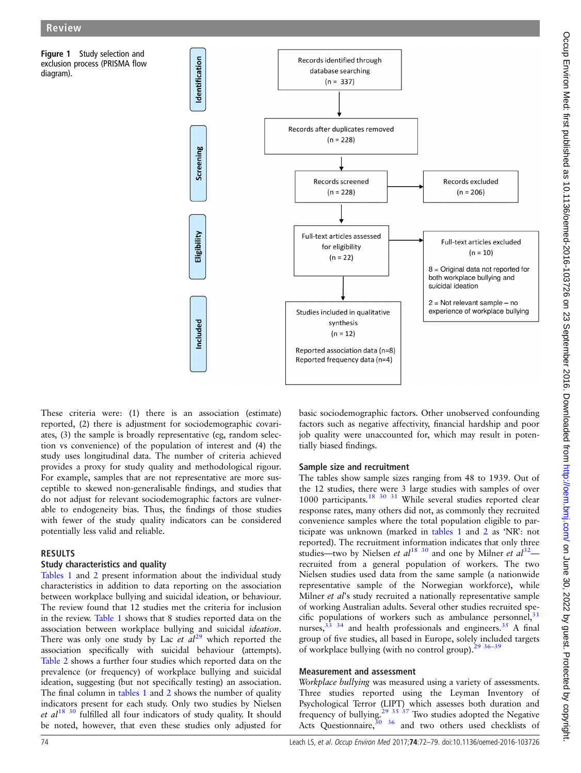<span id="page-2-0"></span>Figure 1 Study selection and exclusion process (PRISMA flow diagram).



These criteria were: (1) there is an association (estimate) reported, (2) there is adjustment for sociodemographic covariates, (3) the sample is broadly representative (eg, random selection vs convenience) of the population of interest and (4) the study uses longitudinal data. The number of criteria achieved provides a proxy for study quality and methodological rigour. For example, samples that are not representative are more susceptible to skewed non-generalisable findings, and studies that do not adjust for relevant sociodemographic factors are vulnerable to endogeneity bias. Thus, the findings of those studies with fewer of the study quality indicators can be considered potentially less valid and reliable.

#### RESULTS

## Study characteristics and quality

[Tables 1](#page-3-0) and [2](#page-4-0) present information about the individual study characteristics in addition to data reporting on the association between workplace bullying and suicidal ideation, or behaviour. The review found that 12 studies met the criteria for inclusion in the review. [Table 1](#page-3-0) shows that 8 studies reported data on the association between workplace bullying and suicidal ideation. There was only one study by Lac et  $al^{29}$  $al^{29}$  $al^{29}$  which reported the association specifically with suicidal behaviour (attempts). [Table 2](#page-4-0) shows a further four studies which reported data on the prevalence (or frequency) of workplace bullying and suicidal ideation, suggesting (but not specifically testing) an association. The final column in [tables 1](#page-3-0) and [2](#page-4-0) shows the number of quality indicators present for each study. Only two studies by Nielsen et  $al^{18}$  $al^{18}$  $al^{18}$  [30](#page-7-0) fulfilled all four indicators of study quality. It should be noted, however, that even these studies only adjusted for

basic sociodemographic factors. Other unobserved confounding factors such as negative affectivity, financial hardship and poor job quality were unaccounted for, which may result in potentially biased findings.

## Sample size and recruitment

The tables show sample sizes ranging from 48 to 1939. Out of the 12 studies, there were 3 large studies with samples of over 1000 participants.<sup>[18](#page-6-0) [30 31](#page-7-0)</sup> While several studies reported clear response rates, many others did not, as commonly they recruited convenience samples where the total population eligible to participate was unknown (marked in [tables 1](#page-3-0) and [2](#page-4-0) as 'NR': not reported). The recruitment information indicates that only three studies—two by Nielsen et  $al^{18}$  $al^{18}$  $al^{18}$  [30](#page-7-0) and one by Milner et  $al^{32}$  $al^{32}$  $al^{32}$  recruited from a general population of workers. The two Nielsen studies used data from the same sample (a nationwide representative sample of the Norwegian workforce), while Milner et al's study recruited a nationally representative sample of working Australian adults. Several other studies recruited specific populations of workers such as ambulance personnel,  $31$ nurses, $33^{3}$  34 and health professionals and engineers.<sup>[35](#page-7-0)</sup> A final group of five studies, all based in Europe, solely included targets of workplace bullying (with no control group). $29\frac{36-39}{36-39}$ 

#### Measurement and assessment

Workplace bullying was measured using a variety of assessments. Three studies reported using the Leyman Inventory of Psychological Terror (LIPT) which assesses both duration and frequency of bullying.<sup>[29 35 37](#page-7-0)</sup> Two studies adopted the Negative Acts Questionnaire,  $30^{36}$  and two others used checklists of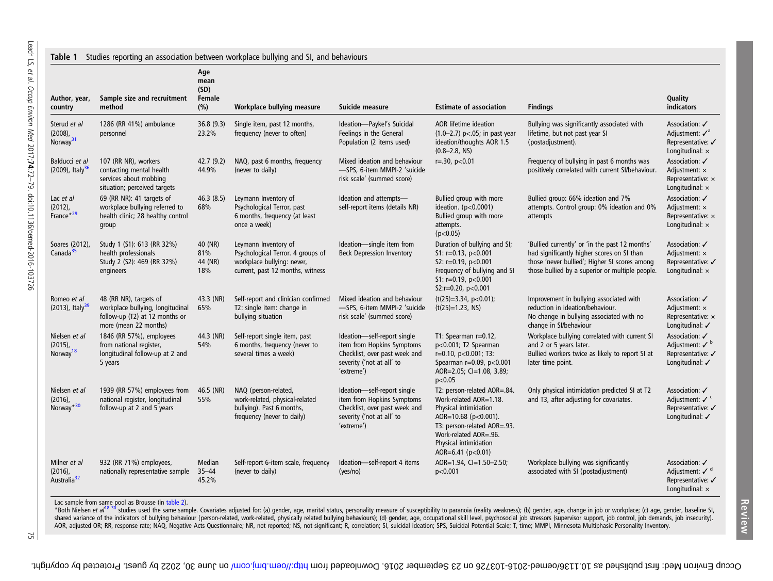<span id="page-3-0"></span>

| Author, year,<br>country                              | Sample size and recruitment<br>method                                                                                 | Age<br>mean<br>(SD)<br>Female<br>(%)                                                                                                  | Workplace bullying measure                                                                                                  | Suicide measure                                                                                                                       | <b>Estimate of association</b>                                                                                                                                                                                   | <b>Findings</b>                                                                                                                                                                                  | Quality<br>indicators                                                                 |
|-------------------------------------------------------|-----------------------------------------------------------------------------------------------------------------------|---------------------------------------------------------------------------------------------------------------------------------------|-----------------------------------------------------------------------------------------------------------------------------|---------------------------------------------------------------------------------------------------------------------------------------|------------------------------------------------------------------------------------------------------------------------------------------------------------------------------------------------------------------|--------------------------------------------------------------------------------------------------------------------------------------------------------------------------------------------------|---------------------------------------------------------------------------------------|
| Sterud et al<br>$(2008)$ ,<br>Norway <sup>31</sup>    | 1286 (RR 41%) ambulance<br>personnel                                                                                  | 36.8(9.3)<br>23.2%                                                                                                                    | Single item, past 12 months,<br>frequency (never to often)                                                                  | Ideation-Paykel's Suicidal<br>Feelings in the General<br>Population (2 items used)                                                    | AOR lifetime ideation<br>$(1.0 - 2.7)$ p<.05; in past year<br>ideation/thoughts AOR 1.5<br>$(0.8 - 2.8, \text{NS})$                                                                                              | Bullying was significantly associated with<br>lifetime, but not past year SI<br>(postadjustment).                                                                                                | Association: √<br>Adjustment: $\mathcal{N}^a$<br>Representative: √<br>Longitudinal: x |
| Balducci et al<br>$(2009)$ , Italy <sup>36</sup>      | 107 (RR NR), workers<br>contacting mental health<br>services about mobbing<br>situation; perceived targets            | 42.7(9.2)<br>44.9%                                                                                                                    | NAQ, past 6 months, frequency<br>(never to daily)                                                                           | Mixed ideation and behaviour<br>-SPS, 6-item MMPI-2 'suicide<br>risk scale' (summed score)                                            | $r = .30$ , $p < 0.01$                                                                                                                                                                                           | Frequency of bullying in past 6 months was<br>positively correlated with current SI/behaviour.                                                                                                   | Association: √<br>Adjustment: x<br>Representative: x<br>Longitudinal: x               |
| Lac et al<br>$(2012)$ ,<br>France <sup>*29</sup>      | 69 (RR NR): 41 targets of<br>workplace bullying referred to<br>health clinic; 28 healthy control<br>group             | 46.3(8.5)<br>68%                                                                                                                      | Leymann Inventory of<br>Psychological Terror, past<br>6 months, frequency (at least<br>once a week)                         | Ideation and attempts-<br>self-report items (details NR)                                                                              | Bullied group with more<br>ideation. (p<0.0001)<br>Bullied group with more<br>attempts.<br>(p<0.05)                                                                                                              | Bullied group: 66% ideation and 7%<br>attempts. Control group: 0% ideation and 0%<br>attempts                                                                                                    | Association: √<br>Adjustment: x<br>Representative: x<br>Longitudinal: $\times$        |
| Soares (2012),<br>Canada <sup>35</sup>                | Study 1 (S1): 613 (RR 32%)<br>health professionals<br>Study 2 (S2): 469 (RR 32%)<br>engineers                         | 40 (NR)<br>81%<br>44 (NR)<br>18%                                                                                                      | Leymann Inventory of<br>Psychological Terror. 4 groups of<br>workplace bullying: never,<br>current, past 12 months, witness | Ideation-single item from<br><b>Beck Depression Inventory</b>                                                                         | Duration of bullying and SI;<br>$S1: r=0.13, p<0.001$<br>S2: $r=0.19$ , $p<0.001$<br>Frequency of bullying and SI<br>S1: $r=0.19$ , $p<0.001$<br>S2:r=0.20, $p<0.001$                                            | 'Bullied currently' or 'in the past 12 months'<br>had significantly higher scores on SI than<br>those 'never bullied'; Higher SI scores among<br>those bullied by a superior or multiple people. | Association: ✔<br>Adjustment: x<br>Representative: √<br>Longitudinal: x               |
| Romeo et al<br>(2013), Italy <sup>39</sup>            | 48 (RR NR), targets of<br>workplace bullying, longitudinal<br>follow-up (T2) at 12 months or<br>more (mean 22 months) | 43.3 (NR)<br>65%                                                                                                                      | Self-report and clinician confirmed<br>T2: single item: change in<br>bullying situation                                     | Mixed ideation and behaviour<br>-SPS, 6-item MMPI-2 'suicide<br>risk scale' (summed score)                                            | $(t(25)=3.34, p<0.01);$<br>$(t(25)=1.23, NS)$                                                                                                                                                                    | Improvement in bullying associated with<br>reduction in ideation/behaviour.<br>No change in bullying associated with no<br>change in SI/behaviour                                                | Association: √<br>Adjustment: x<br>Representative: x<br>Longitudinal: √               |
| Nielsen et al<br>$(2015)$ ,<br>Norway <sup>18</sup>   | 1846 (RR 57%), employees<br>from national register,<br>longitudinal follow-up at 2 and<br>5 years                     | 44.3 (NR)<br>54%                                                                                                                      | Self-report single item, past<br>6 months, frequency (never to<br>several times a week)                                     | Ideation-self-report single<br>item from Hopkins Symptoms<br>Checklist, over past week and<br>severity ('not at all' to<br>'extreme') | T1: Spearman r=0.12,<br>p<0.001; T2 Spearman<br>r=0.10, p<0.001; T3:<br>Spearman r=0.09, p<0.001<br>AOR=2.05; CI=1.08, 3.89;<br>p<0.05                                                                           | Workplace bullying correlated with current SI<br>and 2 or 5 years later.<br>Bullied workers twice as likely to report SI at<br>later time point.                                                 | Association: √<br>Adjustment: $V^b$<br>Representative: √<br>Longitudinal: √           |
| Nielsen et al<br>$(2016)$ ,<br>Norway <sup>*30</sup>  | 1939 (RR 57%) employees from<br>national register, longitudinal<br>follow-up at 2 and 5 years                         | 46.5 (NR)<br>NAQ (person-related,<br>work-related, physical-related<br>55%<br>bullying). Past 6 months,<br>frequency (never to daily) |                                                                                                                             | Ideation-self-report single<br>item from Hopkins Symptoms<br>Checklist, over past week and<br>severity ('not at all' to<br>'extreme') | T2: person-related AOR=.84.<br>Work-related AOR=1.18.<br>Physical intimidation<br>AOR=10.68 (p<0.001).<br>T3: person-related AOR=.93.<br>Work-related AOR=.96.<br>Physical intimidation<br>AOR=6.41 ( $p<0.01$ ) | Only physical intimidation predicted SI at T2<br>and T3, after adjusting for covariates.                                                                                                         | Association: √<br>Adjustment: $V^c$<br>Representative: √<br>Longitudinal: V           |
| Milner et al<br>$(2016)$ ,<br>Australia <sup>32</sup> | 932 (RR 71%) employees,<br>nationally representative sample                                                           | Median<br>$35 - 44$<br>45.2%                                                                                                          | Self-report 6-item scale, frequency<br>(never to daily)                                                                     | Ideation-self-report 4 items<br>(yes/no)                                                                                              | AOR=1.94, CI=1.50-2.50;<br>p<0.001                                                                                                                                                                               | Workplace bullying was significantly<br>associated with SI (postadjustment)                                                                                                                      | Association: √<br>Adjustment: $Vd$<br>Representative: √<br>Longitudinal: $\times$     |

Lac sample from same pool as Brousse (in [table](#page-4-0) 2).<br>\*Both Nielsen *et al<sup>[18](#page-6-0)[30](#page-7-0)</sup>st*udies used the same sample. Covariates adjusted for: (a) gender, age, marital status, personality measure of susceptibility to paranoia (reali shared variance of the indicators of bullying behaviour (person-related, work-related, physically related bullying behaviours); (d) gender, age, occupational skill level, psychosocial job stressors (supervisor support, job AOR, adjusted OR; RR, response rate; NAQ, Negative Acts Questionnaire; NR, not reported; NS, not significant; R, correlation; SI, suicidal ideation; SPS, Suicidal Potential Scale; T, time; MMPI, Minnesota Multiphasic Perso

Review

75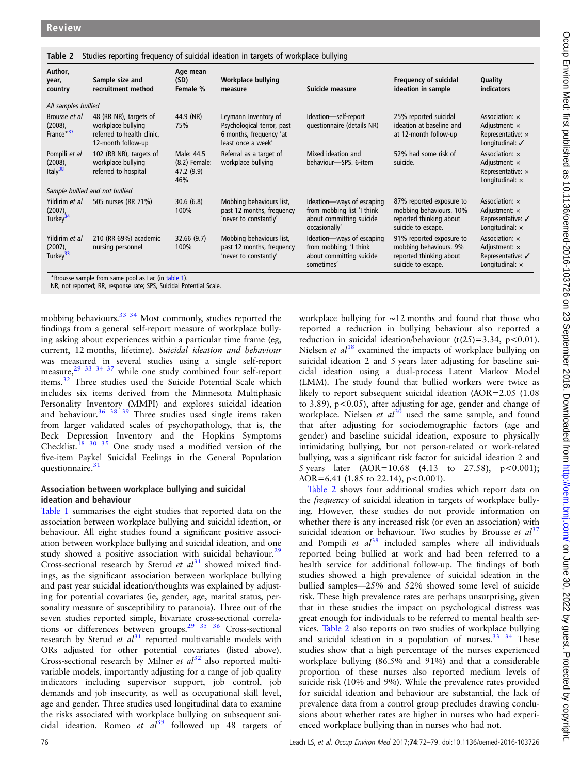#### <span id="page-4-0"></span>Table 2 Studies reporting frequency of suicidal ideation in targets of workplace bullying

| Author,<br>year,<br>country                          | Sample size and<br>recruitment method                                                                                                                            | Age mean<br>(SD)<br>Female %                     | Workplace bullying<br>measure                                                                       | Suicide measure                                                                                      | Frequency of suicidal<br>ideation in sample                                                          | Quality<br>indicators                                                                        |  |  |  |  |
|------------------------------------------------------|------------------------------------------------------------------------------------------------------------------------------------------------------------------|--------------------------------------------------|-----------------------------------------------------------------------------------------------------|------------------------------------------------------------------------------------------------------|------------------------------------------------------------------------------------------------------|----------------------------------------------------------------------------------------------|--|--|--|--|
| All samples bullied                                  |                                                                                                                                                                  |                                                  |                                                                                                     |                                                                                                      |                                                                                                      |                                                                                              |  |  |  |  |
| Brousse et al<br>$(2008)$ ,<br>France <sup>*37</sup> | 48 (RR NR), targets of<br>workplace bullying<br>referred to health clinic,<br>12-month follow-up                                                                 | 44.9 (NR)<br>75%                                 | Leymann Inventory of<br>Psychological terror, past<br>6 months, frequency 'at<br>least once a week' | Ideation-self-report<br>questionnaire (details NR)                                                   | 25% reported suicidal<br>ideation at baseline and<br>at 12-month follow-up                           | Association: x<br>Adjustment: $\times$<br>Representative: $\times$<br>Longitudinal: √        |  |  |  |  |
| Pompili et al<br>$(2008)$ ,<br>Italy $38$            | 102 (RR NR), targets of<br>workplace bullying<br>referred to hospital                                                                                            | Male: 44.5<br>(8.2) Female:<br>47.2 (9.9)<br>46% | Referral as a target of<br>workplace bullying                                                       | Mixed ideation and<br>behaviour-SPS, 6-item                                                          | 52% had some risk of<br>suicide.                                                                     | Association: x<br>Adjustment: $\times$<br>Representative: $\times$<br>Longitudinal: $\times$ |  |  |  |  |
| Sample bullied and not bullied                       |                                                                                                                                                                  |                                                  |                                                                                                     |                                                                                                      |                                                                                                      |                                                                                              |  |  |  |  |
| Yildirim et al<br>$(2007)$ ,<br>Turkey <sup>34</sup> | 505 nurses (RR 71%)                                                                                                                                              | 30.6(6.8)<br>100%                                | Mobbing behaviours list,<br>past 12 months, frequency<br>'never to constantly'                      | Ideation-ways of escaping<br>from mobbing list 'I think<br>about committing suicide<br>occasionally' | 87% reported exposure to<br>mobbing behaviours. 10%<br>reported thinking about<br>suicide to escape. | Association: x<br>Adjustment: $\times$<br>Representative: √<br>Longitudinal: $\times$        |  |  |  |  |
| Yildirim et al<br>$(2007)$ ,<br>Turkey <sup>33</sup> | 210 (RR 69%) academic<br>nursing personnel<br>$\mathbf{r}$ and $\mathbf{r}$ and $\mathbf{r}$ and $\mathbf{r}$ and $\mathbf{r}$ and $\mathbf{r}$ and $\mathbf{r}$ | 32.66(9.7)<br>100%                               | Mobbing behaviours list,<br>past 12 months, frequency<br>'never to constantly'                      | Ideation-ways of escaping<br>from mobbing; 'I think<br>about committing suicide<br>sometimes'        | 91% reported exposure to<br>mobbing behaviours. 9%<br>reported thinking about<br>suicide to escape.  | Association: x<br>Adjustment: x<br>Representative: √<br>Longitudinal: $\times$               |  |  |  |  |

Brousse sample from same pool as Lac (in [table 1](#page-3-0)). NR, not reported; RR, response rate; SPS, Suicidal Potential Scale.

mobbing behaviours.<sup>33</sup> <sup>34</sup> Most commonly, studies reported the findings from a general self-report measure of workplace bullying asking about experiences within a particular time frame (eg, current, 12 months, lifetime). Suicidal ideation and behaviour was measured in several studies using a single self-report measure, $29\frac{29}{33}$   $34\frac{37}{37}$  while one study combined four self-report items.[32](#page-7-0) Three studies used the Suicide Potential Scale which includes six items derived from the Minnesota Multiphasic Personality Inventory (MMPI) and explores suicidal ideation and behaviour.<sup>[36 38 39](#page-7-0)</sup> Three studies used single items taken from larger validated scales of psychopathology, that is, the Beck Depression Inventory and the Hopkins Symptoms Checklist[.18](#page-6-0) [30 35](#page-7-0) One study used a modified version of the five-item Paykel Suicidal Feelings in the General Population questionnaire. $31$ 

## Association between workplace bullying and suicidal ideation and behaviour

[Table 1](#page-3-0) summarises the eight studies that reported data on the association between workplace bullying and suicidal ideation, or behaviour. All eight studies found a significant positive association between workplace bullying and suicidal ideation, and one study showed a positive association with suicidal behaviour.<sup>[29](#page-7-0)</sup> Cross-sectional research by Sterud et  $al<sup>31</sup>$  $al<sup>31</sup>$  $al<sup>31</sup>$  showed mixed findings, as the significant association between workplace bullying and past year suicidal ideation/thoughts was explained by adjusting for potential covariates (ie, gender, age, marital status, personality measure of susceptibility to paranoia). Three out of the seven studies reported simple, bivariate cross-sectional correlations or differences between groups.<sup>29</sup> <sup>35</sup> <sup>36</sup> Cross-sectional research by Sterud et  $al<sup>31</sup>$  $al<sup>31</sup>$  $al<sup>31</sup>$  reported multivariable models with ORs adjusted for other potential covariates (listed above). Cross-sectional research by Milner et  $al^{32}$  $al^{32}$  $al^{32}$  also reported multivariable models, importantly adjusting for a range of job quality indicators including supervisor support, job control, job demands and job insecurity, as well as occupational skill level, age and gender. Three studies used longitudinal data to examine the risks associated with workplace bullying on subsequent suicidal ideation. Romeo et  $a^{39}$  $a^{39}$  $a^{39}$  followed up 48 targets of

workplace bullying for ∼12 months and found that those who reported a reduction in bullying behaviour also reported a reduction in suicidal ideation/behaviour  $(t(25)=3.34, p<0.01)$ . Nielsen et  $al^{18}$  $al^{18}$  $al^{18}$  examined the impacts of workplace bullying on suicidal ideation 2 and 5 years later adjusting for baseline suicidal ideation using a dual-process Latent Markov Model (LMM). The study found that bullied workers were twice as likely to report subsequent suicidal ideation (AOR=2.05 (1.08) to 3.89), p<0.05), after adjusting for age, gender and change of workplace. Nielsen et  $d^{30}$  $d^{30}$  $d^{30}$  used the same sample, and found that after adjusting for sociodemographic factors (age and gender) and baseline suicidal ideation, exposure to physically intimidating bullying, but not person-related or work-related bullying, was a significant risk factor for suicidal ideation 2 and 5 years later  $(AOR=10.68 \t(4.13 \tto 27.58), \t p<0.001);$ AOR=6.41 (1.85 to 22.14),  $p < 0.001$ ).

Table 2 shows four additional studies which report data on the frequency of suicidal ideation in targets of workplace bullying. However, these studies do not provide information on whether there is any increased risk (or even an association) with suicidal ideation or behaviour. Two studies by Brousse et  $al^{37}$  $al^{37}$  $al^{37}$ and Pompili et  $al^{38}$  $al^{38}$  $al^{38}$  included samples where all individuals reported being bullied at work and had been referred to a health service for additional follow-up. The findings of both studies showed a high prevalence of suicidal ideation in the bullied samples—25% and 52% showed some level of suicide risk. These high prevalence rates are perhaps unsurprising, given that in these studies the impact on psychological distress was great enough for individuals to be referred to mental health services. Table 2 also reports on two studies of workplace bullying and suicidal ideation in a population of nurses. $33334$  These studies show that a high percentage of the nurses experienced workplace bullying (86.5% and 91%) and that a considerable proportion of these nurses also reported medium levels of suicide risk (10% and 9%). While the prevalence rates provided for suicidal ideation and behaviour are substantial, the lack of prevalence data from a control group precludes drawing conclusions about whether rates are higher in nurses who had experienced workplace bullying than in nurses who had not.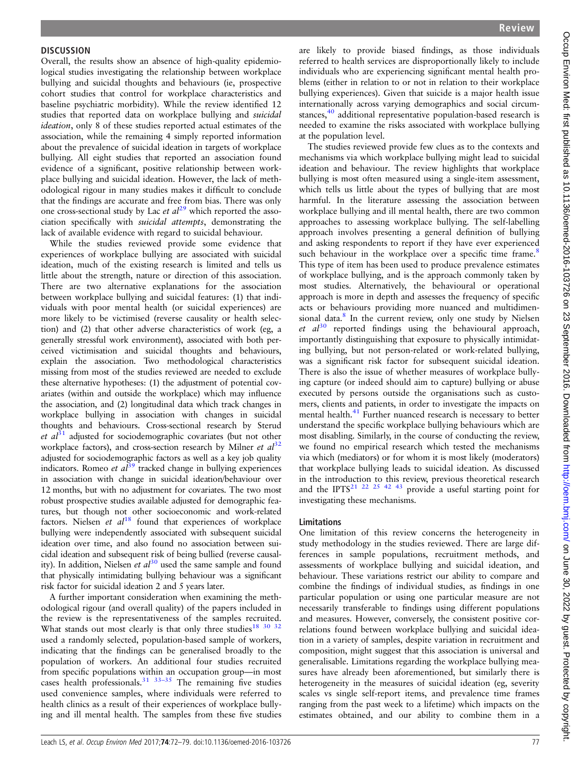#### **DISCUSSION**

Overall, the results show an absence of high-quality epidemiological studies investigating the relationship between workplace bullying and suicidal thoughts and behaviours (ie, prospective cohort studies that control for workplace characteristics and baseline psychiatric morbidity). While the review identified 12 studies that reported data on workplace bullying and suicidal ideation, only 8 of these studies reported actual estimates of the association, while the remaining 4 simply reported information about the prevalence of suicidal ideation in targets of workplace bullying. All eight studies that reported an association found evidence of a significant, positive relationship between workplace bullying and suicidal ideation. However, the lack of methodological rigour in many studies makes it difficult to conclude that the findings are accurate and free from bias. There was only one cross-sectional study by Lac  $et al^{29}$  $et al^{29}$  $et al^{29}$  which reported the association specifically with suicidal attempts, demonstrating the lack of available evidence with regard to suicidal behaviour.

While the studies reviewed provide some evidence that experiences of workplace bullying are associated with suicidal ideation, much of the existing research is limited and tells us little about the strength, nature or direction of this association. There are two alternative explanations for the association between workplace bullying and suicidal features: (1) that individuals with poor mental health (or suicidal experiences) are more likely to be victimised (reverse causality or health selection) and (2) that other adverse characteristics of work (eg, a generally stressful work environment), associated with both perceived victimisation and suicidal thoughts and behaviours, explain the association. Two methodological characteristics missing from most of the studies reviewed are needed to exclude these alternative hypotheses: (1) the adjustment of potential covariates (within and outside the workplace) which may influence the association, and (2) longitudinal data which track changes in workplace bullying in association with changes in suicidal thoughts and behaviours. Cross-sectional research by Sterud et  $al^{31}$  $al^{31}$  $al^{31}$  adjusted for sociodemographic covariates (but not other workplace factors), and cross-section research by Milner et  $al^{32}$  $al^{32}$  $al^{32}$ adjusted for sociodemographic factors as well as a key job quality indicators. Romeo et  $a\tilde{l}^{39}$  $a\tilde{l}^{39}$  $a\tilde{l}^{39}$  tracked change in bullying experiences in association with change in suicidal ideation/behaviour over 12 months, but with no adjustment for covariates. The two most robust prospective studies available adjusted for demographic features, but though not other socioeconomic and work-related factors. Nielsen et  $al^{18}$  $al^{18}$  $al^{18}$  found that experiences of workplace bullying were independently associated with subsequent suicidal ideation over time, and also found no association between suicidal ideation and subsequent risk of being bullied (reverse causality). In addition, Nielsen et  $al^{30}$  $al^{30}$  $al^{30}$  used the same sample and found that physically intimidating bullying behaviour was a significant risk factor for suicidal ideation 2 and 5 years later.

A further important consideration when examining the methodological rigour (and overall quality) of the papers included in the review is the representativeness of the samples recruited. What stands out most clearly is that only three studies<sup>[18](#page-6-0)</sup> 30 <sup>32</sup> used a randomly selected, population-based sample of workers, indicating that the findings can be generalised broadly to the population of workers. An additional four studies recruited from specific populations within an occupation group—in most cases health professionals.<sup>31</sup>  $33-35$  The remaining five studies used convenience samples, where individuals were referred to health clinics as a result of their experiences of workplace bullying and ill mental health. The samples from these five studies are likely to provide biased findings, as those individuals referred to health services are disproportionally likely to include individuals who are experiencing significant mental health problems (either in relation to or not in relation to their workplace bullying experiences). Given that suicide is a major health issue internationally across varying demographics and social circum-stances,<sup>[40](#page-7-0)</sup> additional representative population-based research is needed to examine the risks associated with workplace bullying at the population level.

The studies reviewed provide few clues as to the contexts and mechanisms via which workplace bullying might lead to suicidal ideation and behaviour. The review highlights that workplace bullying is most often measured using a single-item assessment, which tells us little about the types of bullying that are most harmful. In the literature assessing the association between workplace bullying and ill mental health, there are two common approaches to assessing workplace bullying. The self-labelling approach involves presenting a general definition of bullying and asking respondents to report if they have ever experienced such behaviour in the workplace over a specific time frame.<sup>[8](#page-6-0)</sup> This type of item has been used to produce prevalence estimates of workplace bullying, and is the approach commonly taken by most studies. Alternatively, the behavioural or operational approach is more in depth and assesses the frequency of specific acts or behaviours providing more nuanced and multidimen-sional data.<sup>[8](#page-6-0)</sup> In the current review, only one study by Nielsen et  $al^{30}$  $al^{30}$  $al^{30}$  reported findings using the behavioural approach, importantly distinguishing that exposure to physically intimidating bullying, but not person-related or work-related bullying, was a significant risk factor for subsequent suicidal ideation. There is also the issue of whether measures of workplace bullying capture (or indeed should aim to capture) bullying or abuse executed by persons outside the organisations such as customers, clients and patients, in order to investigate the impacts on mental health.<sup>[41](#page-7-0)</sup> Further nuanced research is necessary to better understand the specific workplace bullying behaviours which are most disabling. Similarly, in the course of conducting the review, we found no empirical research which tested the mechanisms via which (mediators) or for whom it is most likely (moderators) that workplace bullying leads to suicidal ideation. As discussed in the introduction to this review, previous theoretical research and the IPTS<sup>21 22 [25 42 43](#page-7-0)</sup> provide a useful starting point for investigating these mechanisms.

#### Limitations

One limitation of this review concerns the heterogeneity in study methodology in the studies reviewed. There are large differences in sample populations, recruitment methods, and assessments of workplace bullying and suicidal ideation, and behaviour. These variations restrict our ability to compare and combine the findings of individual studies, as findings in one particular population or using one particular measure are not necessarily transferable to findings using different populations and measures. However, conversely, the consistent positive correlations found between workplace bullying and suicidal ideation in a variety of samples, despite variation in recruitment and composition, might suggest that this association is universal and generalisable. Limitations regarding the workplace bullying measures have already been aforementioned, but similarly there is heterogeneity in the measures of suicidal ideation (eg, severity scales vs single self-report items, and prevalence time frames ranging from the past week to a lifetime) which impacts on the estimates obtained, and our ability to combine them in a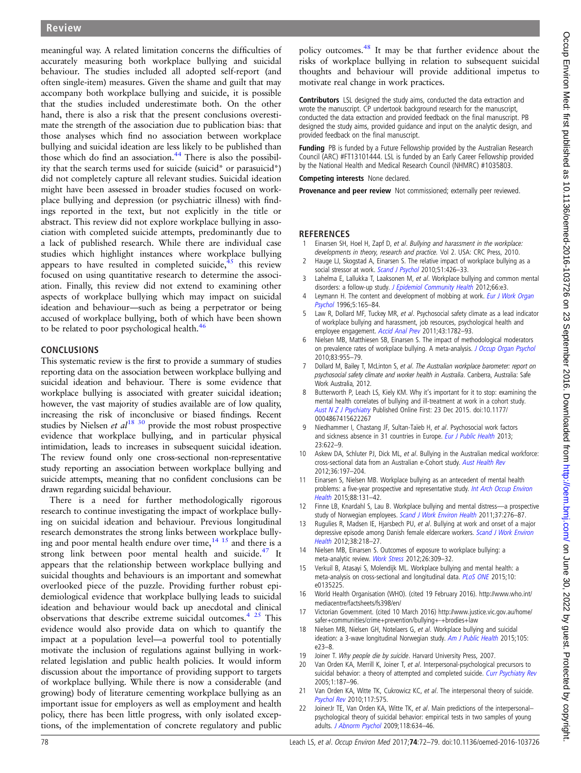<span id="page-6-0"></span>meaningful way. A related limitation concerns the difficulties of accurately measuring both workplace bullying and suicidal behaviour. The studies included all adopted self-report (and often single-item) measures. Given the shame and guilt that may accompany both workplace bullying and suicide, it is possible that the studies included underestimate both. On the other hand, there is also a risk that the present conclusions overestimate the strength of the association due to publication bias: that those analyses which find no association between workplace bullying and suicidal ideation are less likely to be published than those which do find an association. $44$  There is also the possibility that the search terms used for suicide (suicid\* or parasuicid\*) did not completely capture all relevant studies. Suicidal ideation might have been assessed in broader studies focused on workplace bullying and depression (or psychiatric illness) with findings reported in the text, but not explicitly in the title or abstract. This review did not explore workplace bullying in association with completed suicide attempts, predominantly due to a lack of published research. While there are individual case studies which highlight instances where workplace bullying appears to have resulted in completed suicide, $45$  this review focused on using quantitative research to determine the association. Finally, this review did not extend to examining other aspects of workplace bullying which may impact on suicidal ideation and behaviour—such as being a perpetrator or being accused of workplace bullying, both of which have been shown to be related to poor psychological health.<sup>[46](#page-7-0)</sup>

## CONCLUSIONS

This systematic review is the first to provide a summary of studies reporting data on the association between workplace bullying and suicidal ideation and behaviour. There is some evidence that workplace bullying is associated with greater suicidal ideation; however, the vast majority of studies available are of low quality, increasing the risk of inconclusive or biased findings. Recent studies by Nielsen  $et al^{18}$  [30](#page-7-0) provide the most robust prospective evidence that workplace bullying, and in particular physical intimidation, leads to increases in subsequent suicidal ideation. The review found only one cross-sectional non-representative study reporting an association between workplace bullying and suicide attempts, meaning that no confident conclusions can be drawn regarding suicidal behaviour.

There is a need for further methodologically rigorous research to continue investigating the impact of workplace bullying on suicidal ideation and behaviour. Previous longitudinal research demonstrates the strong links between workplace bullying and poor mental health endure over time, $14 \times 15$  and there is a strong link between poor mental health and suicide. $47$  It appears that the relationship between workplace bullying and suicidal thoughts and behaviours is an important and somewhat overlooked piece of the puzzle. Providing further robust epidemiological evidence that workplace bullying leads to suicidal ideation and behaviour would back up anecdotal and clinical observations that describe extreme suicidal outcomes.<sup>4 [25](#page-7-0)</sup> This evidence would also provide data on which to quantify the impact at a population level—a powerful tool to potentially motivate the inclusion of regulations against bullying in workrelated legislation and public health policies. It would inform discussion about the importance of providing support to targets of workplace bullying. While there is now a considerable (and growing) body of literature cementing workplace bullying as an important issue for employers as well as employment and health policy, there has been little progress, with only isolated exceptions, of the implementation of concrete regulatory and public

policy outcomes.[48](#page-7-0) It may be that further evidence about the risks of workplace bullying in relation to subsequent suicidal thoughts and behaviour will provide additional impetus to motivate real change in work practices.

Contributors LSL designed the study aims, conducted the data extraction and wrote the manuscript. CP undertook background research for the manuscript, conducted the data extraction and provided feedback on the final manuscript. PB designed the study aims, provided guidance and input on the analytic design, and provided feedback on the final manuscript.

**Funding** PB is funded by a Future Fellowship provided by the Australian Research Council (ARC) #FT13101444. LSL is funded by an Early Career Fellowship provided by the National Health and Medical Research Council (NHMRC) #1035803.

Competing interests None declared.

Provenance and peer review Not commissioned; externally peer reviewed.

## **REFERENCES**

- Einarsen SH, Hoel H, Zapf D, et al. Bullying and harassment in the workplace: developments in theory, research and practice. Vol 2. USA: CRC Press, 2010.
- 2 Hauge LJ, Skogstad A, Einarsen S. The relative impact of workplace bullying as a social stressor at work. [Scand J Psychol](http://dx.doi.org/10.1111/j.1467-9450.2010.00813.x) 2010;51:426-33.
- 3 Lahelma E, Lallukka T, Laaksonen M, et al. Workplace bullying and common mental disorders: a follow-up study. [J Epidemiol Community Health](http://dx.doi.org/10.1136/jech.2010.115212) 2012;66:e3.
- Leymann H. The content and development of mobbing at work. [Eur J Work Organ](http://dx.doi.org/10.1080/13594329608414853) [Psychol](http://dx.doi.org/10.1080/13594329608414853) 1996;5:165–84.
- 5 Law R, Dollard MF, Tuckey MR, et al. Psychosocial safety climate as a lead indicator of workplace bullying and harassment, job resources, psychological health and employee engagement. [Accid Anal Prev](http://dx.doi.org/10.1016/j.aap.2011.04.010) 2011;43:1782-93.
- 6 Nielsen MB, Matthiesen SB, Einarsen S. The impact of methodological moderators on prevalence rates of workplace bullying. A meta-analysis. [J Occup Organ Psychol](http://dx.doi.org/10.1348/096317909X481256) 2010;83:955–79.
- 7 Dollard M, Bailey T, McLinton S, et al. The Australian workplace barometer: report on psychosocial safety climate and worker health in Australia. Canberra, Australia: Safe Work Australia, 2012.
- 8 Butterworth P, Leach LS, Kiely KM. Why it's important for it to stop: examining the mental health correlates of bullying and ill-treatment at work in a cohort study. [Aust N Z J Psychiatry](http://dx.doi.org/10.1177/0004867415622267) Published Online First: 23 Dec 2015. doi:10.1177/ 0004867415622267
- Niedhammer I, Chastang JF, Sultan-Taïeb H, et al. Psychosocial work factors and sickness absence in 31 countries in Europe. [Eur J Public Health](http://dx.doi.org/10.1093/eurpub/cks124) 2013; 23:622–9.
- 10 Askew DA, Schluter PJ, Dick ML, et al. Bullying in the Australian medical workforce: cross-sectional data from an Australian e-Cohort study. [Aust Health Rev](http://dx.doi.org/10.1071/AH11048) 2012;36:197–204.
- 11 Einarsen S, Nielsen MB. Workplace bullying as an antecedent of mental health problems: a five-year prospective and representative study. [Int Arch Occup Environ](http://dx.doi.org/10.1007/s00420-014-0944-7) [Health](http://dx.doi.org/10.1007/s00420-014-0944-7) 2015;88:131–42.
- 12 Finne LB, Knardahl S, Lau B. Workplace bullying and mental distress—a prospective study of Norwegian employees. [Scand J Work Environ Health](http://dx.doi.org/10.5271/sjweh.3156) 2011;37:276-87.
- 13 Rugulies R, Madsen IE, Hjarsbech PU, et al. Bullying at work and onset of a major depressive episode among Danish female eldercare workers. [Scand J Work Environ](http://dx.doi.org/10.5271/sjweh.3278) [Health](http://dx.doi.org/10.5271/sjweh.3278) 2012;38:218–27.
- 14 Nielsen MB, Einarsen S. Outcomes of exposure to workplace bullying: a meta-analytic review. [Work Stress](http://dx.doi.org/10.1080/02678373.2012.734709) 2012;26:309–32.
- 15 Verkuil B, Atasayi S, Molendijk ML. Workplace bullying and mental health: a meta-analysis on cross-sectional and longitudinal data. [PLoS ONE](http://dx.doi.org/10.1371/journal.pone.0135225) 2015;10: e0135225.
- 16 World Health Organisation (WHO). (cited 19 February 2016). [http://www.who.int/](http://www.who.int/mediacentre/factsheets/fs398/en/) [mediacentre/factsheets/fs398/en/](http://www.who.int/mediacentre/factsheets/fs398/en/)
- 17 Victorian Government. (cited 10 March 2016) [http://www.justice.vic.gov.au/home/](http://www.justice.vic.gov.au/home/safer+communities/crime+prevention/bullying+-+brodies+law) [safer+communities/crime+prevention/bullying+-+brodies+law](http://www.justice.vic.gov.au/home/safer+communities/crime+prevention/bullying+-+brodies+law)
- 18 Nielsen MB, Nielsen GH, Notelaers G, et al. Workplace bullying and suicidal ideation: a 3-wave longitudinal Norwegian study. [Am J Public Health](http://dx.doi.org/10.2105/AJPH.2015.302855) 2015;105: e23–8.
- 19 Joiner T. Why people die by suicide. Harvard University Press, 2007.
- 20 Van Orden KA, Merrill K, Joiner T, et al. Interpersonal-psychological precursors to suicidal behavior: a theory of attempted and completed suicide. [Curr Psychiatry Rev](http://dx.doi.org/10.2174/1573400054065541) 2005;1:187–96.
- 21 Van Orden KA, Witte TK, Cukrowicz KC, et al. The interpersonal theory of suicide. [Psychol Rev](http://dx.doi.org/10.1037/a0018697) 2010;117:575.
- JoinerJr TE, Van Orden KA, Witte TK, et al. Main predictions of the interpersonalpsychological theory of suicidal behavior: empirical tests in two samples of young adults. [J Abnorm Psychol](http://dx.doi.org/10.1037/a0016500) 2009;118:634–46.